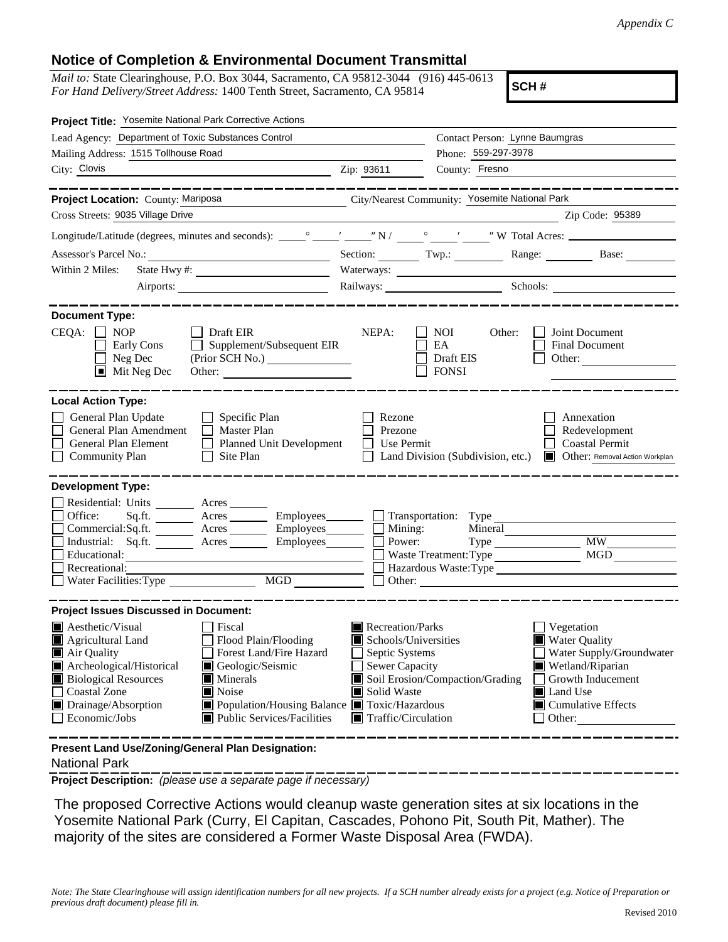## **Notice of Completion & Environmental Document Transmittal**

*Mail to:* State Clearinghouse, P.O. Box 3044, Sacramento, CA 95812-3044 (916) 445-0613 *For Hand Delivery/Street Address:* 1400 Tenth Street, Sacramento, CA 95814

**SCH #**

| Project Title: Yosemite National Park Corrective Actions                                                                                                                                                                                                                                                                                                                                                                              |                                                                                                                                   |                                                                                                                        |                                                                                                                                                                           |
|---------------------------------------------------------------------------------------------------------------------------------------------------------------------------------------------------------------------------------------------------------------------------------------------------------------------------------------------------------------------------------------------------------------------------------------|-----------------------------------------------------------------------------------------------------------------------------------|------------------------------------------------------------------------------------------------------------------------|---------------------------------------------------------------------------------------------------------------------------------------------------------------------------|
| Lead Agency: Department of Toxic Substances Control                                                                                                                                                                                                                                                                                                                                                                                   |                                                                                                                                   | Contact Person: Lynne Baumgras                                                                                         |                                                                                                                                                                           |
| Mailing Address: 1515 Tollhouse Road                                                                                                                                                                                                                                                                                                                                                                                                  |                                                                                                                                   | Phone: 559-297-3978                                                                                                    |                                                                                                                                                                           |
| City: Clovis<br><u> 1980 - Johann John Stein, fransk politik (</u> † 1910)                                                                                                                                                                                                                                                                                                                                                            | Zip: 93611                                                                                                                        | County: Fresno                                                                                                         |                                                                                                                                                                           |
| _________                                                                                                                                                                                                                                                                                                                                                                                                                             |                                                                                                                                   |                                                                                                                        | ---------------                                                                                                                                                           |
| Project Location: County: Mariposa                                                                                                                                                                                                                                                                                                                                                                                                    |                                                                                                                                   | City/Nearest Community: Yosemite National Park                                                                         |                                                                                                                                                                           |
| Cross Streets: 9035 Village Drive                                                                                                                                                                                                                                                                                                                                                                                                     |                                                                                                                                   | <u> 1989 - Johann John Stein, mars et al. 1999 - John Stein, mars et al. 1999 - John Stein, mars et al. 1999 - Joh</u> | Zip Code: 95389                                                                                                                                                           |
|                                                                                                                                                                                                                                                                                                                                                                                                                                       |                                                                                                                                   |                                                                                                                        |                                                                                                                                                                           |
|                                                                                                                                                                                                                                                                                                                                                                                                                                       |                                                                                                                                   |                                                                                                                        | Section: Twp.: Range: Base: Base:                                                                                                                                         |
| Within 2 Miles:                                                                                                                                                                                                                                                                                                                                                                                                                       |                                                                                                                                   |                                                                                                                        |                                                                                                                                                                           |
|                                                                                                                                                                                                                                                                                                                                                                                                                                       |                                                                                                                                   |                                                                                                                        | Railways: Schools: Schools:                                                                                                                                               |
| <b>Document Type:</b><br>$CEQA: \Box NOP$<br>$\Box$ Draft EIR<br>Supplement/Subsequent EIR<br>Early Cons<br>Neg Dec<br>(Prior SCH No.)<br>$\blacksquare$<br>$\blacksquare$ Mit Neg Dec                                                                                                                                                                                                                                                | NEPA:                                                                                                                             | NOI<br>Other:<br>EA<br>Draft EIS<br><b>FONSI</b>                                                                       | Joint Document<br>Final Document<br>Other:                                                                                                                                |
| <b>Local Action Type:</b><br>General Plan Update<br>$\Box$ Specific Plan<br>General Plan Amendment<br>$\Box$ Master Plan<br>General Plan Element<br><b>Planned Unit Development</b><br>$\Box$<br><b>Community Plan</b><br>Site Plan<br>$\perp$                                                                                                                                                                                        | Rezone<br>Prezone<br>Use Permit                                                                                                   | Land Division (Subdivision, etc.)                                                                                      | Annexation<br>Redevelopment<br><b>Coastal Permit</b><br>Other: Removal Action Workplan                                                                                    |
| <b>Development Type:</b><br>Residential: Units ________ Acres _______<br>Office:<br>Sq.fit.<br>Acres _________ Employees__________ [<br>Commercial:Sq.ft. ________ Acres __________ Employees_________ $\Box$<br>Acres Employees<br>Industrial: Sq.ft.<br>Educational:<br>Recreational:<br>Water Facilities: Type MGD                                                                                                                 | Mining:<br>Power:                                                                                                                 | Transportation: Type<br>Mineral<br>$Type \_\_$<br>Waste Treatment: Type                                                | <b>MW</b><br><b>MGD</b><br>Hazardous Waste: Type                                                                                                                          |
| <b>Project Issues Discussed in Document:</b><br>$\blacksquare$ Aesthetic/Visual<br>Fiscal<br>Flood Plain/Flooding<br><b>E</b> Agricultural Land<br>Forest Land/Fire Hazard<br>Air Quality<br>Archeological/Historical<br>Geologic/Seismic<br><b>Biological Resources</b><br>Minerals<br>Noise<br>Coastal Zone<br>Drainage/Absorption<br>■ Population/Housing Balance ■ Toxic/Hazardous<br>Public Services/Facilities<br>Economic/Jobs | Recreation/Parks<br>Schools/Universities<br>Septic Systems<br>Sewer Capacity<br>Solid Waste<br>$\blacksquare$ Traffic/Circulation | Soil Erosion/Compaction/Grading                                                                                        | Vegetation<br><b>Water Quality</b><br>Water Supply/Groundwater<br>Wetland/Riparian<br>Growth Inducement<br>Land Use<br>$\blacksquare$ Cumulative Effects<br>$\Box$ Other: |
| Present Land Use/Zoning/General Plan Designation:                                                                                                                                                                                                                                                                                                                                                                                     |                                                                                                                                   |                                                                                                                        |                                                                                                                                                                           |

## National Park

**Project Description:** *(please use a separate page if necessary)*

 The proposed Corrective Actions would cleanup waste generation sites at six locations in the Yosemite National Park (Curry, El Capitan, Cascades, Pohono Pit, South Pit, Mather). The majority of the sites are considered a Former Waste Disposal Area (FWDA).